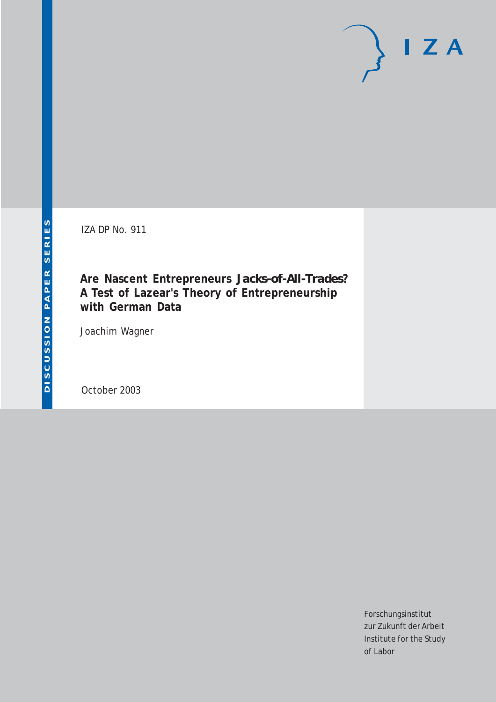IZA DP No. 911

**Are Nascent Entrepreneurs** *Jacks-of-All-Trades***? A Test of Lazear's Theory of Entrepreneurship with German Data**

Joachim Wagner

October 2003

Forschungsinstitut zur Zukunft der Arbeit Institute for the Study of Labor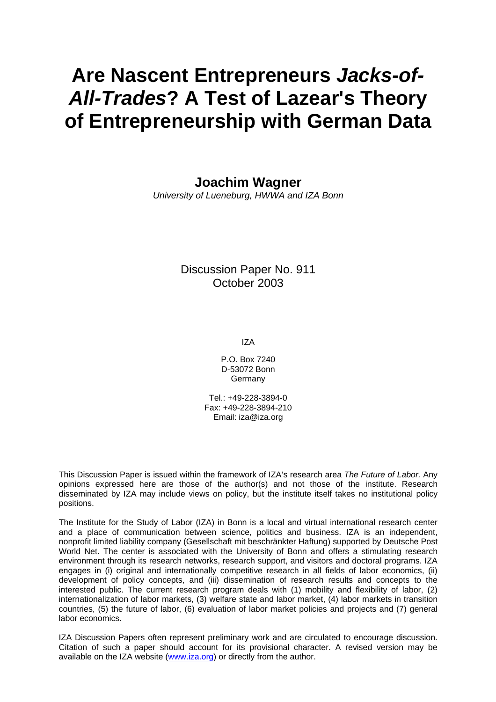# **Are Nascent Entrepreneurs** *Jacks-of-All-Trades***? A Test of Lazear's Theory of Entrepreneurship with German Data**

**Joachim Wagner** 

*University of Lueneburg, HWWA and IZA Bonn*

Discussion Paper No. 911 October 2003

IZA

P.O. Box 7240 D-53072 Bonn Germany

Tel.: +49-228-3894-0 Fax: +49-228-3894-210 Email: [iza@iza.org](mailto:iza@iza.org)

This Discussion Paper is issued within the framework of IZA's research area *The Future of Labor.* Any opinions expressed here are those of the author(s) and not those of the institute. Research disseminated by IZA may include views on policy, but the institute itself takes no institutional policy positions.

The Institute for the Study of Labor (IZA) in Bonn is a local and virtual international research center and a place of communication between science, politics and business. IZA is an independent, nonprofit limited liability company (Gesellschaft mit beschränkter Haftung) supported by Deutsche Post World Net. The center is associated with the University of Bonn and offers a stimulating research environment through its research networks, research support, and visitors and doctoral programs. IZA engages in (i) original and internationally competitive research in all fields of labor economics, (ii) development of policy concepts, and (iii) dissemination of research results and concepts to the interested public. The current research program deals with (1) mobility and flexibility of labor, (2) internationalization of labor markets, (3) welfare state and labor market, (4) labor markets in transition countries, (5) the future of labor, (6) evaluation of labor market policies and projects and (7) general labor economics.

IZA Discussion Papers often represent preliminary work and are circulated to encourage discussion. Citation of such a paper should account for its provisional character. A revised version may be available on the IZA website ([www.iza.org](http://www.iza.org/)) or directly from the author.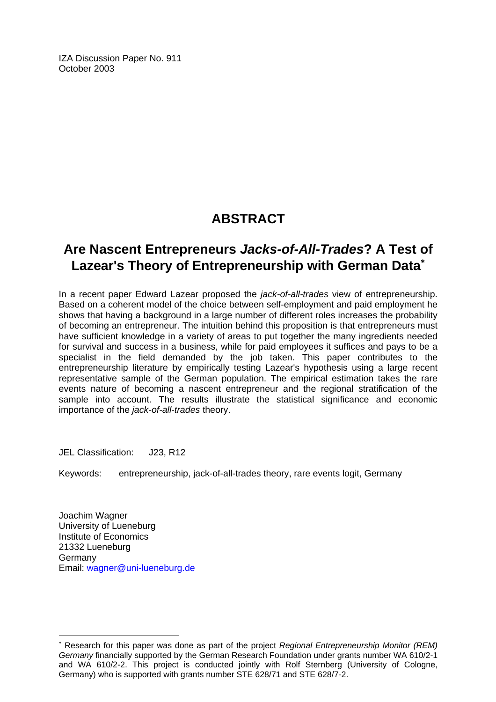IZA Discussion Paper No. 911 October 2003

# **ABSTRACT**

# **Are Nascent Entrepreneurs** *Jacks-of-All-Trades***? A Test of Lazear's Theory of Entrepreneurship with German Data**[∗](#page-2-0)

In a recent paper Edward Lazear proposed the *jack-of-all-trades* view of entrepreneurship. Based on a coherent model of the choice between self-employment and paid employment he shows that having a background in a large number of different roles increases the probability of becoming an entrepreneur. The intuition behind this proposition is that entrepreneurs must have sufficient knowledge in a variety of areas to put together the many ingredients needed for survival and success in a business, while for paid employees it suffices and pays to be a specialist in the field demanded by the job taken. This paper contributes to the entrepreneurship literature by empirically testing Lazear's hypothesis using a large recent representative sample of the German population. The empirical estimation takes the rare events nature of becoming a nascent entrepreneur and the regional stratification of the sample into account. The results illustrate the statistical significance and economic importance of the *jack-of-all-trades* theory.

JEL Classification: J23, R12

Keywords: entrepreneurship, jack-of-all-trades theory, rare events logit, Germany

Joachim Wagner University of Lueneburg Institute of Economics 21332 Lueneburg Germany Email: [wagner@uni-lueneburg.de](mailto:wagner@uni-lueneburg.de) 

 $\overline{a}$ 

<span id="page-2-0"></span><sup>∗</sup> Research for this paper was done as part of the project *Regional Entrepreneurship Monitor (REM) Germany* financially supported by the German Research Foundation under grants number WA 610/2-1 and WA 610/2-2. This project is conducted jointly with Rolf Sternberg (University of Cologne, Germany) who is supported with grants number STE 628/71 and STE 628/7-2.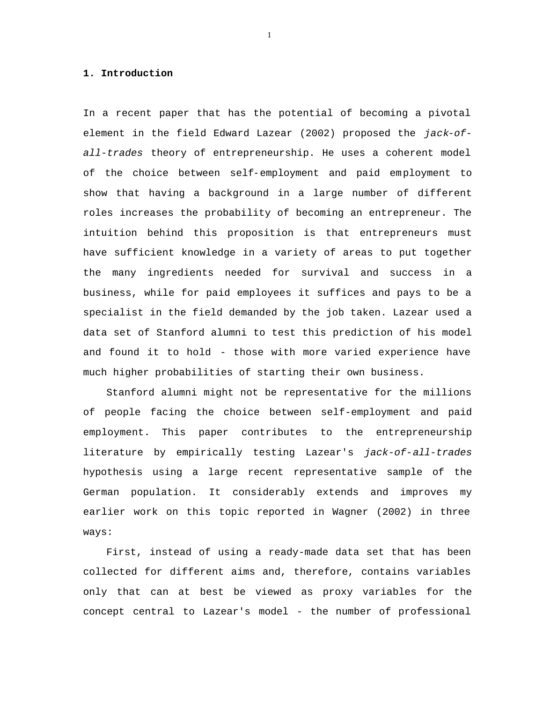#### **1. Introduction**

In a recent paper that has the potential of becoming a pivotal element in the field Edward Lazear (2002) proposed the *jack-ofall-trades* theory of entrepreneurship. He uses a coherent model of the choice between self-employment and paid employment to show that having a background in a large number of different roles increases the probability of becoming an entrepreneur. The intuition behind this proposition is that entrepreneurs must have sufficient knowledge in a variety of areas to put together the many ingredients needed for survival and success in a business, while for paid employees it suffices and pays to be a specialist in the field demanded by the job taken. Lazear used a data set of Stanford alumni to test this prediction of his model and found it to hold - those with more varied experience have much higher probabilities of starting their own business.

Stanford alumni might not be representative for the millions of people facing the choice between self-employment and paid employment. This paper contributes to the entrepreneurship literature by empirically testing Lazear's *jack-of-all-trades* hypothesis using a large recent representative sample of the German population. It considerably extends and improves my earlier work on this topic reported in Wagner (2002) in three ways:

First, instead of using a ready-made data set that has been collected for different aims and, therefore, contains variables only that can at best be viewed as proxy variables for the concept central to Lazear's model - the number of professional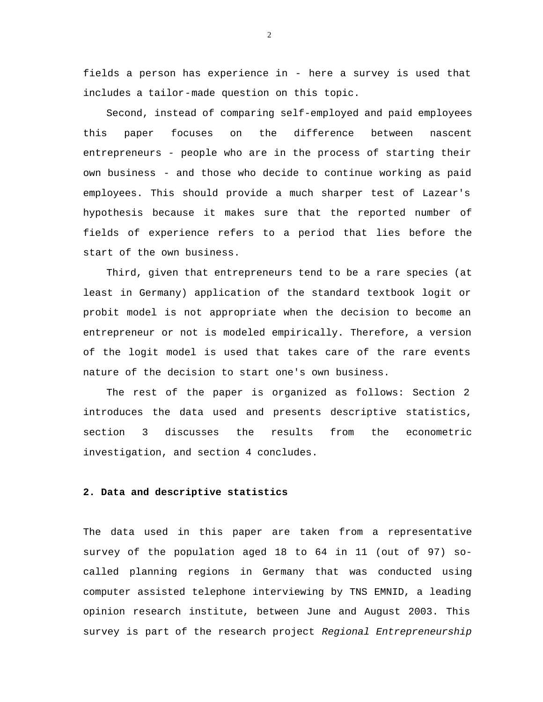fields a person has experience in - here a survey is used that includes a tailor-made question on this topic.

Second, instead of comparing self-employed and paid employees this paper focuses on the difference between nascent entrepreneurs - people who are in the process of starting their own business - and those who decide to continue working as paid employees. This should provide a much sharper test of Lazear's hypothesis because it makes sure that the reported number of fields of experience refers to a period that lies before the start of the own business.

Third, given that entrepreneurs tend to be a rare species (at least in Germany) application of the standard textbook logit or probit model is not appropriate when the decision to become an entrepreneur or not is modeled empirically. Therefore, a version of the logit model is used that takes care of the rare events nature of the decision to start one's own business.

The rest of the paper is organized as follows: Section 2 introduces the data used and presents descriptive statistics, section 3 discusses the results from the econometric investigation, and section 4 concludes.

### **2. Data and descriptive statistics**

The data used in this paper are taken from a representative survey of the population aged 18 to 64 in 11 (out of 97) socalled planning regions in Germany that was conducted using computer assisted telephone interviewing by TNS EMNID, a leading opinion research institute, between June and August 2003. This survey is part of the research project *Regional Entrepreneurship*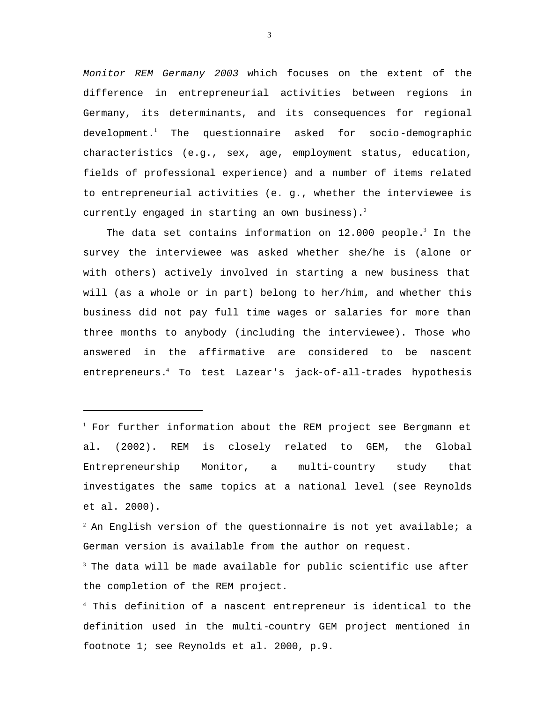*Monitor REM Germany 2003* which focuses on the extent of the difference in entrepreneurial activities between regions in Germany, its determinants, and its consequences for regional development.<sup>1</sup> The questionnaire asked for socio-demographic characteristics (e.g., sex, age, employment status, education, fields of professional experience) and a number of items related to entrepreneurial activities (e. g., whether the interviewee is currently engaged in starting an own business).<sup>2</sup>

The data set contains information on  $12.000$  people.<sup>3</sup> In the survey the interviewee was asked whether she/he is (alone or with others) actively involved in starting a new business that will (as a whole or in part) belong to her/him, and whether this business did not pay full time wages or salaries for more than three months to anybody (including the interviewee). Those who answered in the affirmative are considered to be nascent entrepreneurs.<sup>4</sup> To test Lazear's jack-of-all-trades hypothesis

 $1$  For further information about the REM project see Bergmann et al. (2002). REM is closely related to GEM, the Global Entrepreneurship Monitor, a multi-country study that investigates the same topics at a national level (see Reynolds et al. 2000).

l

 $2^2$  An English version of the questionnaire is not yet available; a German version is available from the author on request.

 $3$  The data will be made available for public scientific use after the completion of the REM project.

<sup>4</sup> This definition of a nascent entrepreneur is identical to the definition used in the multi-country GEM project mentioned in footnote 1; see Reynolds et al. 2000, p.9.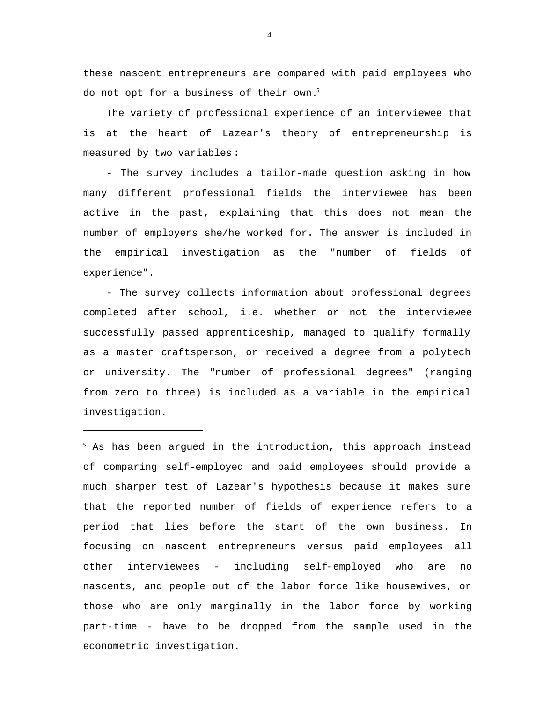these nascent entrepreneurs are compared with paid employees who do not opt for a business of their own.<sup>5</sup>

The variety of professional experience of an interviewee that is at the heart of Lazear's theory of entrepreneurship is measured by two variables:

- The survey includes a tailor-made question asking in how many different professional fields the interviewee has been active in the past, explaining that this does not mean the number of employers she/he worked for. The answer is included in the empirical investigation as the "number of fields of experience".

- The survey collects information about professional degrees completed after school, i.e. whether or not the interviewee successfully passed apprenticeship, managed to qualify formally as a master craftsperson, or received a degree from a polytech or university. The "number of professional degrees" (ranging from zero to three) is included as a variable in the empirical investigation.

l

 $5$  As has been argued in the introduction, this approach instead of comparing self-employed and paid employees should provide a much sharper test of Lazear's hypothesis because it makes sure that the reported number of fields of experience refers to a period that lies before the start of the own business. In focusing on nascent entrepreneurs versus paid employees all other interviewees - including self-employed who are no nascents, and people out of the labor force like housewives, or those who are only marginally in the labor force by working part-time - have to be dropped from the sample used in the econometric investigation.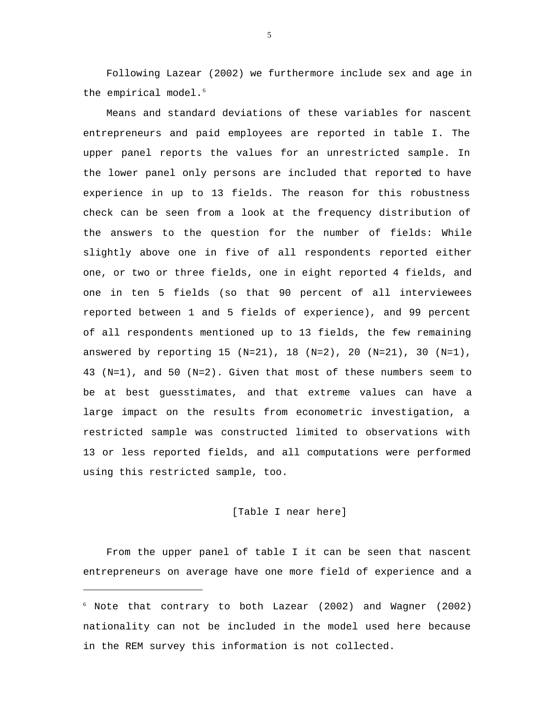Following Lazear (2002) we furthermore include sex and age in the empirical model.<sup>6</sup>

Means and standard deviations of these variables for nascent entrepreneurs and paid employees are reported in table I. The upper panel reports the values for an unrestricted sample. In the lower panel only persons are included that reported to have experience in up to 13 fields. The reason for this robustness check can be seen from a look at the frequency distribution of the answers to the question for the number of fields: While slightly above one in five of all respondents reported either one, or two or three fields, one in eight reported 4 fields, and one in ten 5 fields (so that 90 percent of all interviewees reported between 1 and 5 fields of experience), and 99 percent of all respondents mentioned up to 13 fields, the few remaining answered by reporting 15 (N=21), 18 (N=2), 20 (N=21), 30 (N=1), 43 (N=1), and 50 (N=2). Given that most of these numbers seem to be at best guesstimates, and that extreme values can have a large impact on the results from econometric investigation, a restricted sample was constructed limited to observations with 13 or less reported fields, and all computations were performed using this restricted sample, too.

#### [Table I near here]

From the upper panel of table I it can be seen that nascent entrepreneurs on average have one more field of experience and a

l

<sup>6</sup> Note that contrary to both Lazear (2002) and Wagner (2002) nationality can not be included in the model used here because in the REM survey this information is not collected.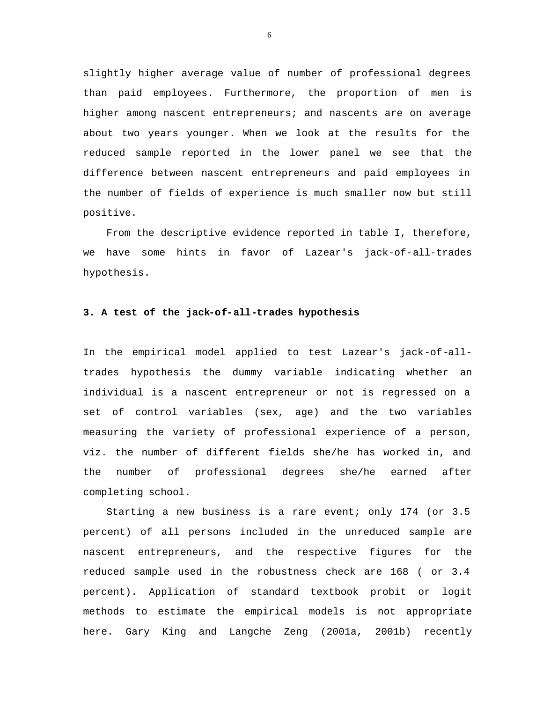slightly higher average value of number of professional degrees than paid employees. Furthermore, the proportion of men is higher among nascent entrepreneurs; and nascents are on average about two years younger. When we look at the results for the reduced sample reported in the lower panel we see that the difference between nascent entrepreneurs and paid employees in the number of fields of experience is much smaller now but still positive.

From the descriptive evidence reported in table I, therefore, we have some hints in favor of Lazear's jack-of-all-trades hypothesis.

#### **3. A test of the jack-of-all-trades hypothesis**

In the empirical model applied to test Lazear's jack-of-alltrades hypothesis the dummy variable indicating whether an individual is a nascent entrepreneur or not is regressed on a set of control variables (sex, age) and the two variables measuring the variety of professional experience of a person, viz. the number of different fields she/he has worked in, and the number of professional degrees she/he earned after completing school.

Starting a new business is a rare event; only 174 (or 3.5 percent) of all persons included in the unreduced sample are nascent entrepreneurs, and the respective figures for the reduced sample used in the robustness check are 168 ( or 3.4 percent). Application of standard textbook probit or logit methods to estimate the empirical models is not appropriate here. Gary King and Langche Zeng (2001a, 2001b) recently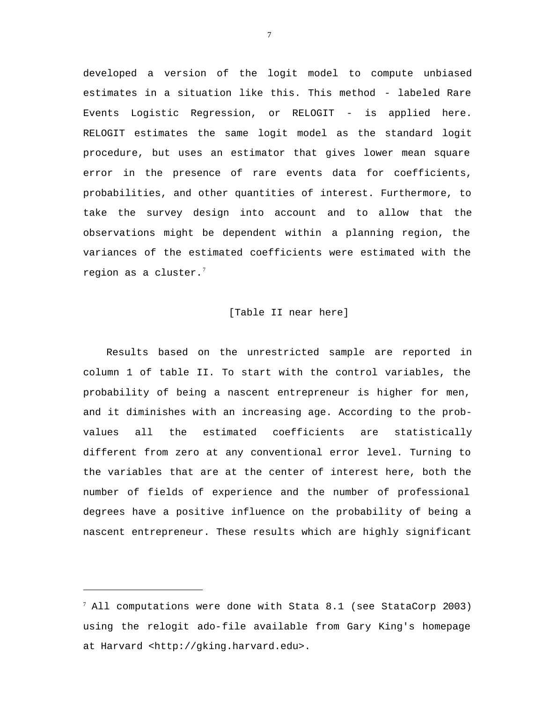developed a version of the logit model to compute unbiased estimates in a situation like this. This method - labeled Rare Events Logistic Regression, or RELOGIT - is applied here. RELOGIT estimates the same logit model as the standard logit procedure, but uses an estimator that gives lower mean square error in the presence of rare events data for coefficients, probabilities, and other quantities of interest. Furthermore, to take the survey design into account and to allow that the observations might be dependent within a planning region, the variances of the estimated coefficients were estimated with the region as a cluster. $7$ 

#### [Table II near here]

Results based on the unrestricted sample are reported in column 1 of table II. To start with the control variables, the probability of being a nascent entrepreneur is higher for men, and it diminishes with an increasing age. According to the probvalues all the estimated coefficients are statistically different from zero at any conventional error level. Turning to the variables that are at the center of interest here, both the number of fields of experience and the number of professional degrees have a positive influence on the probability of being a nascent entrepreneur. These results which are highly significant

l

 $^7$  All computations were done with Stata 8.1 (see StataCorp 2003) using the relogit ado-file available from Gary King's homepage at Harvard <http://gking.harvard.edu>.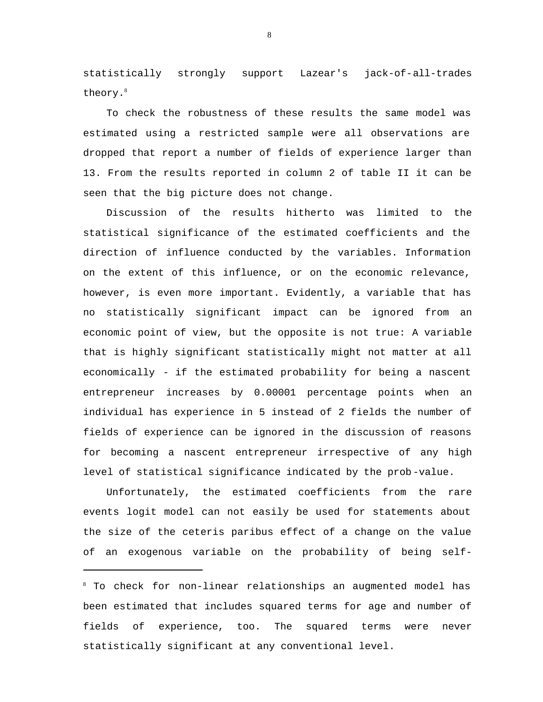statistically strongly support Lazear's jack-of-all-trades theory.<sup>8</sup>

To check the robustness of these results the same model was estimated using a restricted sample were all observations are dropped that report a number of fields of experience larger than 13. From the results reported in column 2 of table II it can be seen that the big picture does not change.

Discussion of the results hitherto was limited to the statistical significance of the estimated coefficients and the direction of influence conducted by the variables. Information on the extent of this influence, or on the economic relevance, however, is even more important. Evidently, a variable that has no statistically significant impact can be ignored from an economic point of view, but the opposite is not true: A variable that is highly significant statistically might not matter at all economically - if the estimated probability for being a nascent entrepreneur increases by 0.00001 percentage points when an individual has experience in 5 instead of 2 fields the number of fields of experience can be ignored in the discussion of reasons for becoming a nascent entrepreneur irrespective of any high level of statistical significance indicated by the prob-value.

Unfortunately, the estimated coefficients from the rare events logit model can not easily be used for statements about the size of the ceteris paribus effect of a change on the value of an exogenous variable on the probability of being self-

l

<sup>8</sup> To check for non-linear relationships an augmented model has been estimated that includes squared terms for age and number of fields of experience, too. The squared terms were never statistically significant at any conventional level.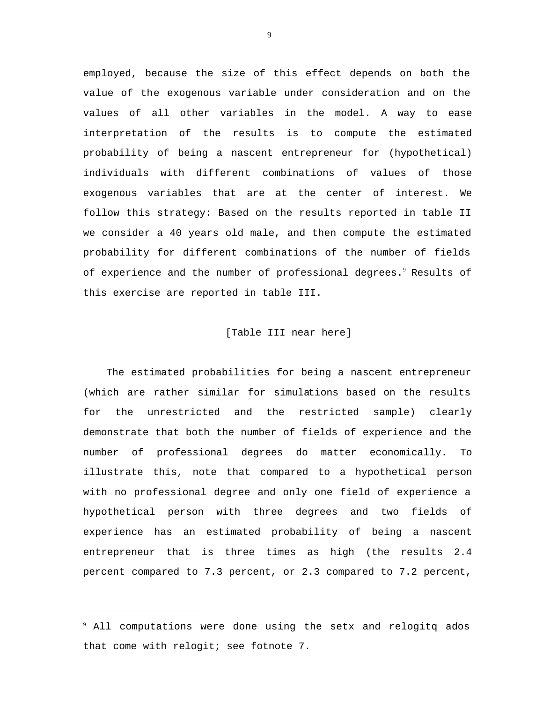employed, because the size of this effect depends on both the value of the exogenous variable under consideration and on the values of all other variables in the model. A way to ease interpretation of the results is to compute the estimated probability of being a nascent entrepreneur for (hypothetical) individuals with different combinations of values of those exogenous variables that are at the center of interest. We follow this strategy: Based on the results reported in table II we consider a 40 years old male, and then compute the estimated probability for different combinations of the number of fields of experience and the number of professional degrees.<sup>9</sup> Results of this exercise are reported in table III.

#### [Table III near here]

The estimated probabilities for being a nascent entrepreneur (which are rather similar for simulations based on the results for the unrestricted and the restricted sample) clearly demonstrate that both the number of fields of experience and the number of professional degrees do matter economically. To illustrate this, note that compared to a hypothetical person with no professional degree and only one field of experience a hypothetical person with three degrees and two fields of experience has an estimated probability of being a nascent entrepreneur that is three times as high (the results 2.4 percent compared to 7.3 percent, or 2.3 compared to 7.2 percent,

l

<sup>9</sup> All computations were done using the setx and relogitq ados that come with relogit; see fotnote 7.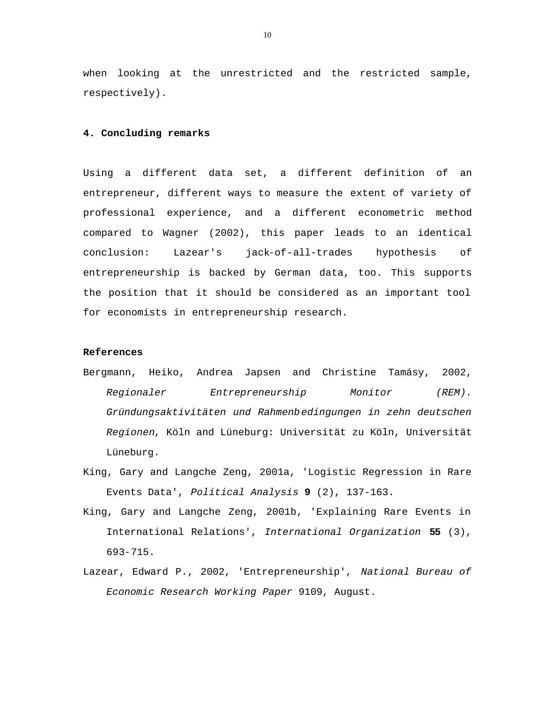when looking at the unrestricted and the restricted sample, respectively).

#### **4. Concluding remarks**

Using a different data set, a different definition of an entrepreneur, different ways to measure the extent of variety of professional experience, and a different econometric method compared to Wagner (2002), this paper leads to an identical conclusion: Lazear's jack-of-all-trades hypothesis of entrepreneurship is backed by German data, too. This supports the position that it should be considered as an important tool for economists in entrepreneurship research.

#### **References**

- Bergmann, Heiko, Andrea Japsen and Christine Tamásy, 2002, *Regionaler Entrepreneurship Monitor (REM). Gründungsaktivitäten und Rahmenbedingungen in zehn deutschen Regionen*, Köln and Lüneburg: Universität zu Köln, Universität Lüneburg.
- King, Gary and Langche Zeng, 2001a, 'Logistic Regression in Rare Events Data', *Political Analysis* **9** (2), 137-163.
- King, Gary and Langche Zeng, 2001b, 'Explaining Rare Events in International Relations', *International Organization* **55** (3), 693-715.
- Lazear, Edward P., 2002, 'Entrepreneurship', *National Bureau of Economic Research Working Paper* 9109, August.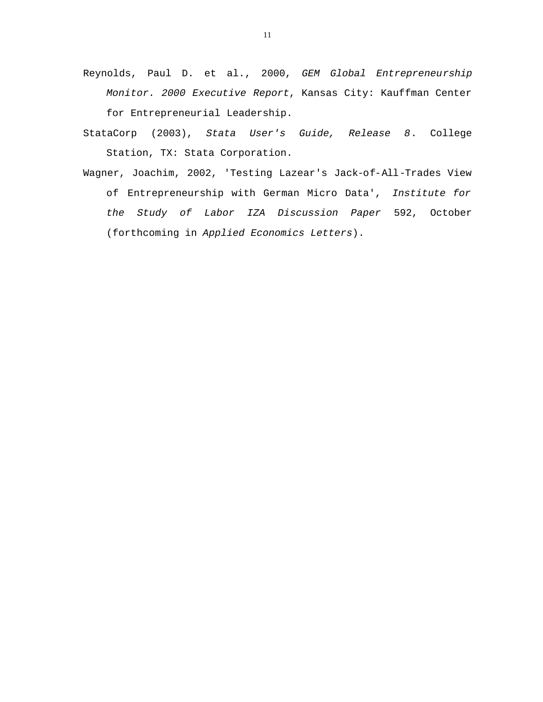- Reynolds, Paul D. et al., 2000, *GEM Global Entrepreneurship Monitor. 2000 Executive Report*, Kansas City: Kauffman Center for Entrepreneurial Leadership.
- StataCorp (2003), *Stata User's Guide, Release 8*. College Station, TX: Stata Corporation.
- Wagner, Joachim, 2002, 'Testing Lazear's Jack-of-All-Trades View of Entrepreneurship with German Micro Data', *Institute for the Study of Labor IZA Discussion Paper* 592, October (forthcoming in *Applied Economics Letters*).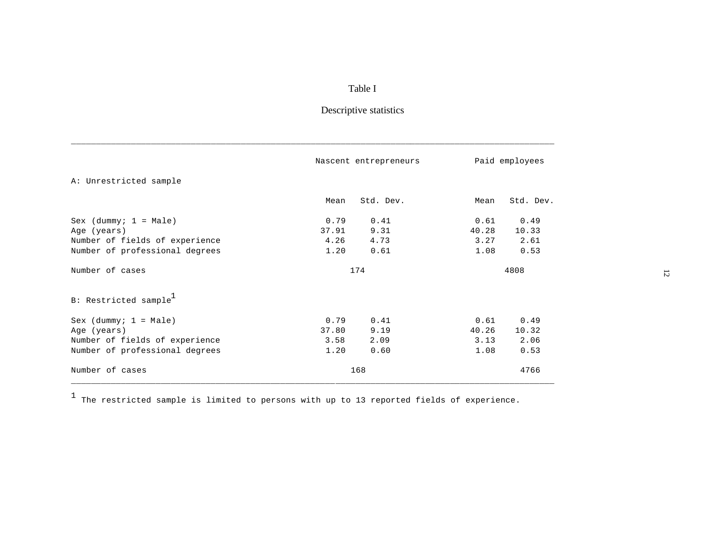### Table I

# Descriptive statistics

|                                   |       | Nascent entrepreneurs | Paid employees |           |  |
|-----------------------------------|-------|-----------------------|----------------|-----------|--|
| A: Unrestricted sample            |       |                       |                |           |  |
|                                   | Mean  | Std. Dev.             | Mean           | Std. Dev. |  |
| Sex (dummy; $1 = Male$ )          | 0.79  | 0.41                  | 0.61           | 0.49      |  |
| Age (years)                       | 37.91 | 9.31                  | 40.28          | 10.33     |  |
| Number of fields of experience    | 4.26  | 4.73                  | 3.27           | 2.61      |  |
| Number of professional degrees    | 1.20  | 0.61                  | 1.08           | 0.53      |  |
| Number of cases                   |       | 174                   |                | 4808      |  |
| B: Restricted sample <sup>1</sup> |       |                       |                |           |  |
| $Sex$ (dummy; $1 = Male$ )        | 0.79  | 0.41                  | 0.61           | 0.49      |  |
| Age (years)                       | 37.80 | 9.19                  | 40.26          | 10.32     |  |
| Number of fields of experience    | 3.58  | 2.09                  | 3.13           | 2.06      |  |
| Number of professional degrees    | 1.20  | 0.60                  | 1.08           | 0.53      |  |
| Number of cases                   |       | 168                   |                | 4766      |  |

\_\_\_\_\_\_\_\_\_\_\_\_\_\_\_\_\_\_\_\_\_\_\_\_\_\_\_\_\_\_\_\_\_\_\_\_\_\_\_\_\_\_\_\_\_\_\_\_\_\_\_\_\_\_\_\_\_\_\_\_\_\_\_\_\_\_\_\_\_\_\_\_\_\_\_\_\_\_\_\_\_\_\_\_\_\_\_\_\_\_\_\_\_\_\_\_\_

 $^1$  The restricted sample is limited to persons with up to 13 reported fields of experience.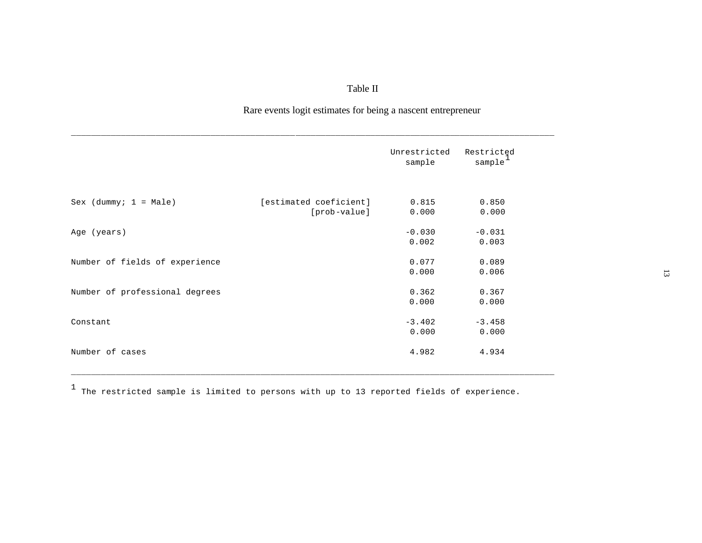## Table II

### Rare events logit estimates for being a nascent entrepreneur

|                                |                        | Unrestricted<br>sample | Restricted<br>sample |
|--------------------------------|------------------------|------------------------|----------------------|
| Sex $(dummy; 1 = Male)$        | [estimated coeficient] | 0.815                  | 0.850                |
|                                | [prob-value]           | 0.000                  | 0.000                |
| Age (years)                    |                        | $-0.030$               | $-0.031$             |
|                                |                        | 0.002                  | 0.003                |
| Number of fields of experience |                        | 0.077                  | 0.089                |
|                                |                        | 0.000                  | 0.006                |
| Number of professional degrees |                        | 0.362                  | 0.367                |
|                                |                        | 0.000                  | 0.000                |
| Constant                       |                        | $-3.402$               | $-3.458$             |
|                                |                        | 0.000                  | 0.000                |
| Number of cases                |                        | 4.982                  | 4.934                |
|                                |                        |                        |                      |

 $^{\rm 1}$  The restricted sample is limited to persons with up to 13 reported fields of experience.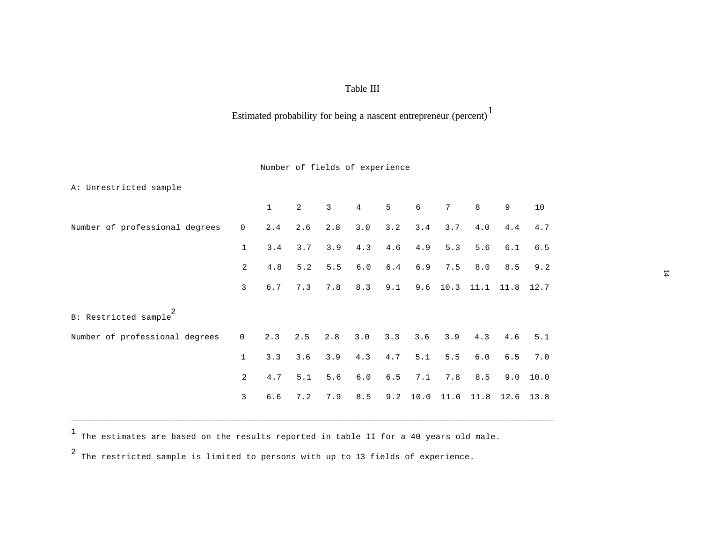### Table III

# Estimated probability for being a nascent entrepreneur (percent)<sup>1</sup>

|                                |                | Number of fields of experience |                |                |         |                |      |                 |         |       |      |  |
|--------------------------------|----------------|--------------------------------|----------------|----------------|---------|----------------|------|-----------------|---------|-------|------|--|
| A: Unrestricted sample         |                |                                |                |                |         |                |      |                 |         |       |      |  |
|                                |                | $\mathbf{1}$                   | $\overline{c}$ | $\overline{3}$ | 4       | 5 <sup>7</sup> | 6    | $7\overline{ }$ | 8       | 9     | 10   |  |
| Number of professional degrees | $\overline{0}$ | 2.4                            | 2.6            | 2.8            | 3.0     | 3.2            | 3.4  | 3.7             | 4.0     | 4.4   | 4.7  |  |
|                                | $\mathbf{1}$   | 3.4                            | 3.7            | 3.9            | 4.3     | $4.6\,$        | 4.9  | 5.3             | 5.6     | 6.1   | 6.5  |  |
|                                | $\overline{2}$ | 4.8                            | 5.2            | 5.5            | $6.0\,$ | $6.4\,$        | 6.9  | 7.5             | 8.0     | 8.5   | 9.2  |  |
|                                | 3              | $6.7$                          | 7.3            | 7.8            | 8.3     | 9.1            | 9.6  | 10.3            | 11.1    | 11.8  | 12.7 |  |
| B: Restricted sample           |                |                                |                |                |         |                |      |                 |         |       |      |  |
| Number of professional degrees | $\mathbf 0$    | 2.3                            | 2.5            | 2.8            | 3.0     | 3.3            | 3.6  | 3.9             | 4.3     | 4.6   | 5.1  |  |
|                                | $\mathbf{1}$   | 3.3                            | 3.6            | 3.9            | 4.3     | 4.7            | 5.1  | 5.5             | $6.0\,$ | $6.5$ | 7.0  |  |
|                                | $\overline{a}$ | 4.7                            | 5.1            | $5.6$          | $6.0$   | $6.5$          | 7.1  | 7.8             | $8.5\,$ | 9.0   | 10.0 |  |
|                                | $\overline{3}$ | 6.6                            | 7.2            | 7.9            | 8.5     | 9.2            | 10.0 | 11.0            | 11.8    | 12.6  | 13.8 |  |

\_\_\_\_\_\_\_\_\_\_\_\_\_\_\_\_\_\_\_\_\_\_\_\_\_\_\_\_\_\_\_\_\_\_\_\_\_\_\_\_\_\_\_\_\_\_\_\_\_\_\_\_\_\_\_\_\_\_\_\_\_\_\_\_\_\_\_\_\_\_\_\_\_\_\_\_\_\_\_\_\_\_\_\_\_\_\_\_\_\_\_\_\_\_\_\_\_

1 The estimates are based on the results reported in table II for a 40 years old male.

\_\_\_\_\_\_\_\_\_\_\_\_\_\_\_\_\_\_\_\_\_\_\_\_\_\_\_\_\_\_\_\_\_\_\_\_\_\_\_\_\_\_\_\_\_\_\_\_\_\_\_\_\_\_\_\_\_\_\_\_\_\_\_\_\_\_\_\_\_\_\_\_\_\_\_\_\_\_\_\_\_\_\_\_\_\_\_\_\_\_\_\_\_\_\_\_\_

2 The restricted sample is limited to persons with up to 13 fields of experience.